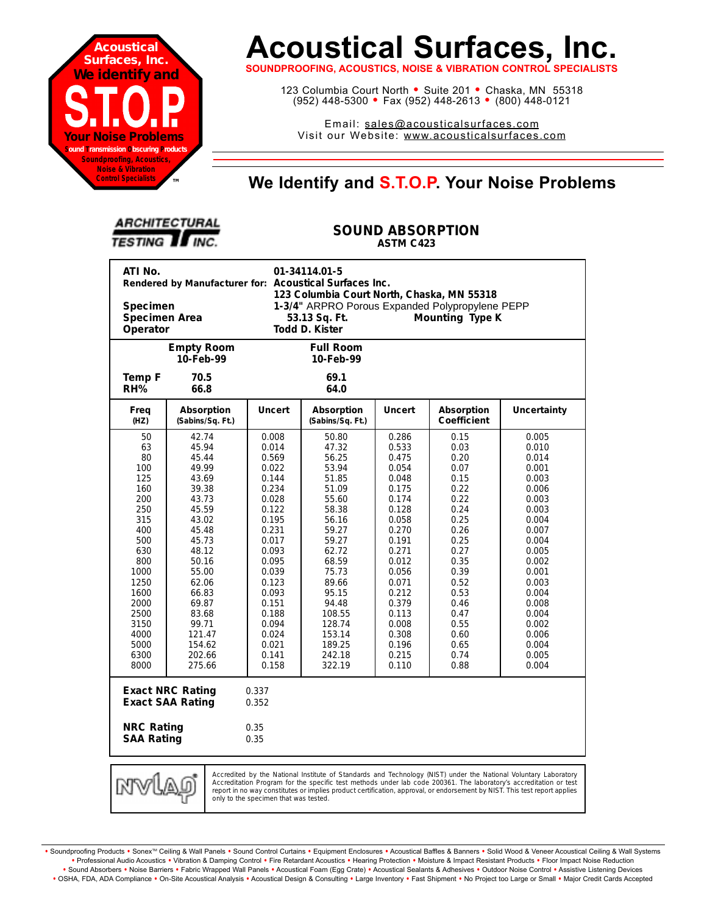

# **Acoustical Surfaces, Inc.**

**SOUNDPROOFING, ACOUSTICS, NOISE & VIBRATION CONTROL SPECIALISTS**

123 Columbia Court North · Suite 201 · Chaska, MN 55318 (952) 448-5300 <sup>=</sup> Fax (952) 448-2613 <sup>=</sup> (800) 448-0121

Email: sales@acousticalsurfaces.com Visit our Website: www.acousticalsurfaces.com

## **™ We Identify and S.T.O.P. Your Noise Problems**

| <b>ARCHITECTURAL</b> |  |
|----------------------|--|
| <b>TESTING TINC.</b> |  |

#### **SOUND ABSORPTION ASTM C423**

| ATI No.<br>01-34114.01-5<br>Rendered by Manufacturer for: Acoustical Surfaces Inc.<br>123 Columbia Court North, Chaska, MN 55318<br>1-3/4" ARPRO Porous Expanded Polypropylene PEPP<br><b>Specimen</b><br><b>Specimen Area</b><br>53.13 Sq. Ft.<br>Mounting Type K<br>Operator<br>Todd D. Kister                                                                                |                                                                                                                                                                                                                 |                                                                                                                                                                                                             |                                                                                                                                                                                                                   |                                                                                                                                                                                                             |                                                                                                                                                                                      |                                                                                                                                                                                                             |  |
|---------------------------------------------------------------------------------------------------------------------------------------------------------------------------------------------------------------------------------------------------------------------------------------------------------------------------------------------------------------------------------|-----------------------------------------------------------------------------------------------------------------------------------------------------------------------------------------------------------------|-------------------------------------------------------------------------------------------------------------------------------------------------------------------------------------------------------------|-------------------------------------------------------------------------------------------------------------------------------------------------------------------------------------------------------------------|-------------------------------------------------------------------------------------------------------------------------------------------------------------------------------------------------------------|--------------------------------------------------------------------------------------------------------------------------------------------------------------------------------------|-------------------------------------------------------------------------------------------------------------------------------------------------------------------------------------------------------------|--|
|                                                                                                                                                                                                                                                                                                                                                                                 | <b>Empty Room</b><br>10-Feb-99                                                                                                                                                                                  |                                                                                                                                                                                                             | <b>Full Room</b><br>10-Feb-99                                                                                                                                                                                     |                                                                                                                                                                                                             |                                                                                                                                                                                      |                                                                                                                                                                                                             |  |
| Temp F<br>RH%                                                                                                                                                                                                                                                                                                                                                                   | 70.5<br>66.8                                                                                                                                                                                                    |                                                                                                                                                                                                             | 69.1<br>64.0                                                                                                                                                                                                      |                                                                                                                                                                                                             |                                                                                                                                                                                      |                                                                                                                                                                                                             |  |
| Freq<br>(HZ)                                                                                                                                                                                                                                                                                                                                                                    | Absorption<br>(Sabins/Sq. Ft.)                                                                                                                                                                                  | <b>Uncert</b>                                                                                                                                                                                               | Absorption<br>(Sabins/Sq. Ft.)                                                                                                                                                                                    | <b>Uncert</b>                                                                                                                                                                                               | Absorption<br><b>Coefficient</b>                                                                                                                                                     | <b>Uncertainty</b>                                                                                                                                                                                          |  |
| 50<br>63<br>80<br>100<br>125<br>160<br>200<br>250<br>315<br>400<br>500<br>630<br>800<br>1000<br>1250<br>1600<br>2000<br>2500<br>3150<br>4000<br>5000<br>6300<br>8000                                                                                                                                                                                                            | 42.74<br>45.94<br>45.44<br>49.99<br>43.69<br>39.38<br>43.73<br>45.59<br>43.02<br>45.48<br>45.73<br>48.12<br>50.16<br>55.00<br>62.06<br>66.83<br>69.87<br>83.68<br>99.71<br>121.47<br>154.62<br>202.66<br>275.66 | 0.008<br>0.014<br>0.569<br>0.022<br>0.144<br>0.234<br>0.028<br>0.122<br>0.195<br>0.231<br>0.017<br>0.093<br>0.095<br>0.039<br>0.123<br>0.093<br>0.151<br>0.188<br>0.094<br>0.024<br>0.021<br>0.141<br>0.158 | 50.80<br>47.32<br>56.25<br>53.94<br>51.85<br>51.09<br>55.60<br>58.38<br>56.16<br>59.27<br>59.27<br>62.72<br>68.59<br>75.73<br>89.66<br>95.15<br>94.48<br>108.55<br>128.74<br>153.14<br>189.25<br>242.18<br>322.19 | 0.286<br>0.533<br>0.475<br>0.054<br>0.048<br>0.175<br>0.174<br>0.128<br>0.058<br>0.270<br>0.191<br>0.271<br>0.012<br>0.056<br>0.071<br>0.212<br>0.379<br>0.113<br>0.008<br>0.308<br>0.196<br>0.215<br>0.110 | 0.15<br>0.03<br>0.20<br>0.07<br>0.15<br>0.22<br>0.22<br>0.24<br>0.25<br>0.26<br>0.25<br>0.27<br>0.35<br>0.39<br>0.52<br>0.53<br>0.46<br>0.47<br>0.55<br>0.60<br>0.65<br>0.74<br>0.88 | 0.005<br>0.010<br>0.014<br>0.001<br>0.003<br>0.006<br>0.003<br>0.003<br>0.004<br>0.007<br>0.004<br>0.005<br>0.002<br>0.001<br>0.003<br>0.004<br>0.008<br>0.004<br>0.002<br>0.006<br>0.004<br>0.005<br>0.004 |  |
| <b>Exact NRC Rating</b><br>0.337<br><b>Exact SAA Rating</b><br>0.352<br><b>NRC Rating</b><br>0.35<br><b>SAA Rating</b><br>0.35                                                                                                                                                                                                                                                  |                                                                                                                                                                                                                 |                                                                                                                                                                                                             |                                                                                                                                                                                                                   |                                                                                                                                                                                                             |                                                                                                                                                                                      |                                                                                                                                                                                                             |  |
| Accredited by the National Institute of Standards and Technology (NIST) under the National Voluntary Laboratory<br>mwi<br>Accreditation Program for the specific test methods under lab code 200361. The laboratory's accreditation or test<br>VV)<br>report in no way constitutes or implies product certification, approval, or endorsement by NIST. This test report applies |                                                                                                                                                                                                                 |                                                                                                                                                                                                             |                                                                                                                                                                                                                   |                                                                                                                                                                                                             |                                                                                                                                                                                      |                                                                                                                                                                                                             |  |

Soundproofing Products . Sonex<sup>TM</sup> Ceiling & Wall Panels . Sound Control Curtains . Equipment Enclosures . Acoustical Baffles & Banners . Solid Wood & Veneer Acoustical Ceiling & Wall Systems **•** Professional Audio Acoustics **•** Vibration & Damping Control **•** Fire Retardant Acoustics **•** Hearing Protection **•** Moisture & Impact Resistant Products **•** Floor Impact Noise Reduction · Sound Absorbers · Noise Barriers · Fabric Wrapped Wall Panels · Acoustical Foam (Egg Crate) · Acoustical Sealants & Adhesives · Outdoor Noise Control · Assistive Listening Devices . OSHA, FDA, ADA Compliance . On-Site Acoustical Analysis . Acoustical Design & Consulting . Large Inventory . Fast Shipment . No Project too Large or Small . Major Credit Cards Accepted

only to the specimen that was tested.